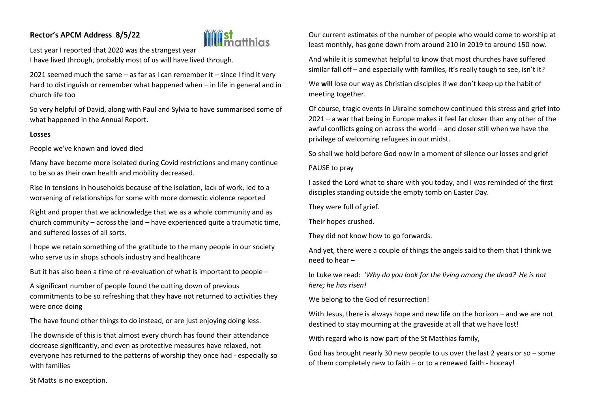# **Rector's APCM Address 8/5/22**



Last year I reported that 2020 was the strangest year I have lived through, probably most of us will have lived through.

2021 seemed much the same – as far as I can remember it – since I find it very hard to distinguish or remember what happened when – in life in general and in church life too

So very helpful of David, along with Paul and Sylvia to have summarised some of what happened in the Annual Report.

### **Losses**

People we've known and loved died

Many have become more isolated during Covid restrictions and many continue to be so as their own health and mobility decreased.

Rise in tensions in households because of the isolation, lack of work, led to a worsening of relationships for some with more domestic violence reported

Right and proper that we acknowledge that we as a whole community and as church community – across the land – have experienced quite a traumatic time, and suffered losses of all sorts.

I hope we retain something of the gratitude to the many people in our society who serve us in shops schools industry and healthcare

But it has also been a time of re-evaluation of what is important to people –

A significant number of people found the cutting down of previous commitments to be so refreshing that they have not returned to activities they were once doing

The have found other things to do instead, or are just enjoying doing less.

The downside of this is that almost every church has found their attendance decrease significantly, and even as protective measures have relaxed, not everyone has returned to the patterns of worship they once had - especially so with families

Our current estimates of the number of people who would come to worship at least monthly, has gone down from around 210 in 2019 to around 150 now.

And while it is somewhat helpful to know that most churches have suffered similar fall off – and especially with families, it's really tough to see, isn't it?

We **will** lose our way as Christian disciples if we don't keep up the habit of meeting together.

Of course, tragic events in Ukraine somehow continued this stress and grief into 2021 – a war that being in Europe makes it feel far closer than any other of the awful conflicts going on across the world – and closer still when we have the privilege of welcoming refugees in our midst.

So shall we hold before God now in a moment of silence our losses and grief

#### PAUSE to pray

I asked the Lord what to share with you today, and I was reminded of the first disciples standing outside the empty tomb on Easter Day.

They were full of grief.

Their hopes crushed.

They did not know how to go forwards.

And yet, there were a couple of things the angels said to them that I think we need to hear –

In Luke we read: *'Why do you look for the living among the dead? He is not here; he has risen!*

We belong to the God of resurrection!

With Jesus, there is always hope and new life on the horizon – and we are not destined to stay mourning at the graveside at all that we have lost!

With regard who is now part of the St Matthias family,

God has brought nearly 30 new people to us over the last 2 years or so – some of them completely new to faith – or to a renewed faith - hooray!

St Matts is no exception.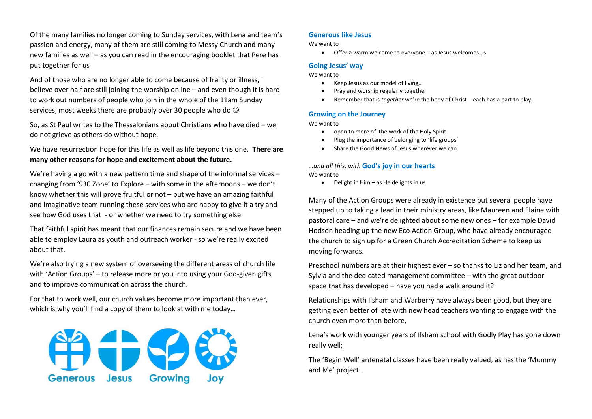Of the many families no longer coming to Sunday services, with Lena and team's passion and energy, many of them are still coming to Messy Church and many new families as well – as you can read in the encouraging booklet that Pere has put together for us

And of those who are no longer able to come because of frailty or illness, I believe over half are still joining the worship online – and even though it is hard to work out numbers of people who join in the whole of the 11am Sunday services, most weeks there are probably over 30 people who do  $\odot$ 

So, as St Paul writes to the Thessalonians about Christians who have died – we do not grieve as others do without hope.

We have resurrection hope for this life as well as life beyond this one. **There are many other reasons for hope and excitement about the future.**

We're having a go with a new pattern time and shape of the informal services – changing from '930 Zone' to Explore – with some in the afternoons – we don't know whether this will prove fruitful or not – but we have an amazing faithful and imaginative team running these services who are happy to give it a try and see how God uses that - or whether we need to try something else.

That faithful spirit has meant that our finances remain secure and we have been able to employ Laura as youth and outreach worker - so we're really excited about that.

We're also trying a new system of overseeing the different areas of church life with 'Action Groups' – to release more or you into using your God-given gifts and to improve communication across the church.

For that to work well, our church values become more important than ever, which is why you'll find a copy of them to look at with me today...



## **Generous like Jesus**

We want to

Offer a warm welcome to everyone – as Jesus welcomes us

## **Going Jesus' way**

We want to

- Keep Jesus as our model of living,.
- Pray and worship regularly together
- Remember that is *together* we're the body of Christ each has a part to play.

#### **Growing on the Journey**

We want to

- open to more of the work of the Holy Spirit
- Plug the importance of belonging to 'life groups'
- Share the Good News of Jesus wherever we can.

#### *…and all this, with* **God's joy in our hearts** We want to

 $\bullet$  Delight in Him – as He delights in us

Many of the Action Groups were already in existence but several people have stepped up to taking a lead in their ministry areas, like Maureen and Elaine with pastoral care – and we're delighted about some new ones – for example David Hodson heading up the new Eco Action Group, who have already encouraged the church to sign up for a Green Church Accreditation Scheme to keep us moving forwards.

Preschool numbers are at their highest ever – so thanks to Liz and her team, and Sylvia and the dedicated management committee – with the great outdoor space that has developed – have you had a walk around it?

Relationships with Ilsham and Warberry have always been good, but they are getting even better of late with new head teachers wanting to engage with the church even more than before,

Lena's work with younger years of Ilsham school with Godly Play has gone down really well;

The 'Begin Well' antenatal classes have been really valued, as has the 'Mummy and Me' project.